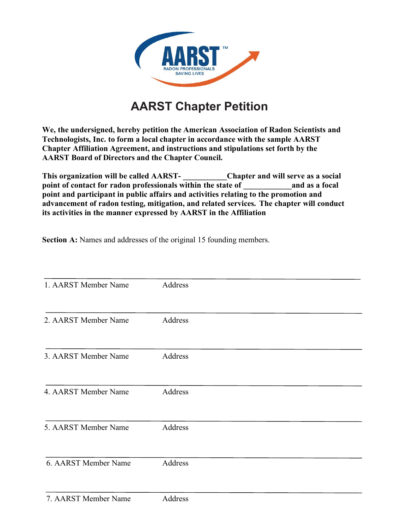

## **AARST Chapter Petition**

**We, the undersigned, hereby petition the American Association of Radon Scientists and Technologists, Inc. to form a local chapter in accordance with the sample AARST Chapter Affiliation Agreement, and instructions and stipulations set forth by the AARST Board of Directors and the Chapter Council.** 

**This organization will be called AARST- \_\_\_\_\_\_\_\_\_\_\_Chapter and will serve as a social**  point of contact for radon professionals within the state of **property** and as a focal **point and participant in public affairs and activities relating to the promotion and advancement of radon testing, mitigation, and related services. The chapter will conduct its activities in the manner expressed by AARST in the Affiliation** 

**Section A:** Names and addresses of the original 15 founding members.

| 1. AARST Member Name | Address |  |
|----------------------|---------|--|
| 2. AARST Member Name | Address |  |
| 3. AARST Member Name | Address |  |
| 4. AARST Member Name | Address |  |
| 5. AARST Member Name | Address |  |
| 6. AARST Member Name | Address |  |
|                      |         |  |